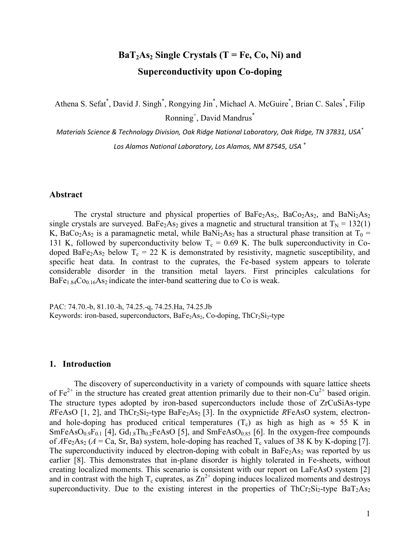# $BaT_2As_2$  **Single Crystals (T = Fe, Co, Ni) and Superconductivity upon Co-doping**

Athena S. Sefat\*, David J. Singh\*, Rongying Jin\*, Michael A. McGuire\*, Brian C. Sales\*, Filip Ronning<sup>+</sup> , David Mandrus\*

*Materials Science & Technology Division, Oak Ridge National Laboratory, Oak Ridge, TN 37831, USA\* Los Alamos National Laboratory, Los Alamos, NM 87545, USA* <sup>+</sup>

#### **Abstract**

The crystal structure and physical properties of  $BaFe<sub>2</sub>As<sub>2</sub>$ ,  $BaCo<sub>2</sub>As<sub>2</sub>$ , and  $BaNi<sub>2</sub>As<sub>2</sub>$ single crystals are surveyed. BaFe<sub>2</sub>As<sub>2</sub> gives a magnetic and structural transition at  $T_N = 132(1)$ K, BaCo<sub>2</sub>As<sub>2</sub> is a paramagnetic metal, while BaNi<sub>2</sub>As<sub>2</sub> has a structural phase transition at T<sub>0</sub> = 131 K, followed by superconductivity below  $T_c = 0.69$  K. The bulk superconductivity in Codoped BaFe<sub>2</sub>As<sub>2</sub> below  $T_c = 22$  K is demonstrated by resistivity, magnetic susceptibility, and specific heat data. In contrast to the cuprates, the Fe-based system appears to tolerate considerable disorder in the transition metal layers. First principles calculations for  $BaFe<sub>1.84</sub>Co<sub>0.16</sub>As<sub>2</sub> indicate the inter-band scattering due to Co is weak.$ 

PAC: 74.70.-b, 81.10.-h, 74.25.-q, 74.25.Ha, 74.25.Jb Keywords: iron-based, superconductors, BaFe<sub>2</sub>As<sub>2</sub>, Co-doping, ThCr<sub>2</sub>Si<sub>2</sub>-type

### **1. Introduction**

The discovery of superconductivity in a variety of compounds with square lattice sheets of  $Fe^{2+}$  in the structure has created great attention primarily due to their non-Cu<sup>2+</sup> based origin. The structure types adopted by iron-based superconductors include those of ZrCuSiAs-type *RFeAsO* [1, 2], and  $ThCr<sub>2</sub>Si<sub>2</sub>$ -type  $BaFe<sub>2</sub>As<sub>2</sub>$  [3]. In the oxypnictide *RFeAsO* system, electronand hole-doping has produced critical temperatures  $(T_c)$  as high as high as  $\approx$  55 K in  $SmFeAsO<sub>0.9</sub>F<sub>0.1</sub>$  [4],  $Gd<sub>1.8</sub>Th<sub>0.2</sub>FeAsO$  [5], and  $SmFeAsO<sub>0.85</sub>$  [6]. In the oxygen-free compounds of  $A\text{Fe}_2\text{As}_2$  ( $A = \text{Ca}$ , Sr, Ba) system, hole-doping has reached  $T_c$  values of 38 K by K-doping [7]. The superconductivity induced by electron-doping with cobalt in  $BaFe<sub>2</sub>As<sub>2</sub>$  was reported by us earlier [8]. This demonstrates that in-plane disorder is highly tolerated in Fe-sheets, without creating localized moments. This scenario is consistent with our report on LaFeAsO system [2] and in contrast with the high  $T_c$  cuprates, as  $Zn^{2+}$  doping induces localized moments and destroys superconductivity. Due to the existing interest in the properties of  $ThCr_2Si_2$ -type  $BaT_2As_2$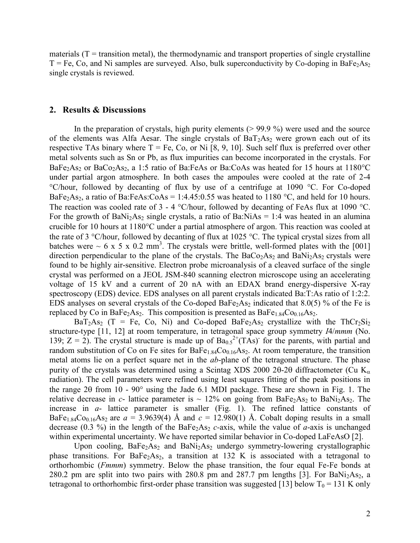materials  $(T =$  transition metal), the thermodynamic and transport properties of single crystalline  $T = Fe$ , Co, and Ni samples are surveyed. Also, bulk superconductivity by Co-doping in BaFe<sub>2</sub>As<sub>2</sub> single crystals is reviewed.

### **2. Results & Discussions**

In the preparation of crystals, high purity elements  $(> 99.9\%)$  were used and the source of the elements was Alfa Aesar. The single crystals of  $BaT<sub>2</sub>As<sub>2</sub>$  were grown each out of its respective TAs binary where  $T = Fe$ , Co, or Ni [8, 9, 10]. Such self flux is preferred over other metal solvents such as Sn or Pb, as flux impurities can become incorporated in the crystals. For BaFe<sub>2</sub>As<sub>2</sub> or BaCo<sub>2</sub>As<sub>2</sub>, a 1:5 ratio of Ba:FeAs or Ba:CoAs was heated for 15 hours at 1180<sup>o</sup>C under partial argon atmosphere. In both cases the ampoules were cooled at the rate of 2-4 °C/hour, followed by decanting of flux by use of a centrifuge at 1090 °C. For Co-doped BaFe<sub>2</sub>As<sub>2</sub>, a ratio of Ba:FeAs:CoAs = 1:4.45:0.55 was heated to 1180 °C, and held for 10 hours. The reaction was cooled rate of  $3 - 4$  °C/hour, followed by decanting of FeAs flux at 1090 °C. For the growth of BaNi<sub>2</sub>As<sub>2</sub> single crystals, a ratio of Ba:NiAs = 1:4 was heated in an alumina crucible for 10 hours at 1180°C under a partial atmosphere of argon. This reaction was cooled at the rate of 3  $\degree$ C/hour, followed by decanting of flux at 1025  $\degree$ C. The typical crystal sizes from all batches were  $\sim 6 \times 5 \times 0.2 \text{ mm}^3$ . The crystals were brittle, well-formed plates with the [001] direction perpendicular to the plane of the crystals. The  $BaCo<sub>2</sub>As<sub>2</sub>$  and  $BaNi<sub>2</sub>As<sub>2</sub>$  crystals were found to be highly air-sensitive. Electron probe microanalysis of a cleaved surface of the single crystal was performed on a JEOL JSM-840 scanning electron microscope using an accelerating voltage of 15 kV and a current of 20 nA with an EDAX brand energy-dispersive X-ray spectroscopy (EDS) device. EDS analyses on all parent crystals indicated Ba:T:As ratio of 1:2:2. EDS analyses on several crystals of the Co-doped BaFe<sub>2</sub>As<sub>2</sub> indicated that 8.0(5) % of the Fe is replaced by Co in BaFe<sub>2</sub>As<sub>2</sub>. This composition is presented as  $BaFe<sub>1.84</sub>Co<sub>0.16</sub>As<sub>2</sub>$ .

 $BaT_2As_2$  (T = Fe, Co, Ni) and Co-doped BaFe<sub>2</sub>As<sub>2</sub> crystallize with the ThCr<sub>2</sub>Si<sub>2</sub> structure-type [11, 12] at room temperature, in tetragonal space group symmetry *I*4/*mmm* (No. 139; Z = 2). The crystal structure is made up of  $Ba<sub>0.5</sub><sup>2+</sup>(TAs)$  for the parents, with partial and random substitution of Co on Fe sites for  $BaFe<sub>1.84</sub>Co<sub>0.16</sub>As<sub>2</sub>$ . At room temperature, the transition metal atoms lie on a perfect square net in the *ab*-plane of the tetragonal structure. The phase purity of the crystals was determined using a Scintag XDS 2000 20-20 diffractometer (Cu  $K_{\alpha}$ ) radiation). The cell parameters were refined using least squares fitting of the peak positions in the range 20 from 10 -  $90^{\circ}$  using the Jade 6.1 MDI package. These are shown in Fig. 1. The relative decrease in *c*- lattice parameter is  $\sim 12\%$  on going from BaFe<sub>2</sub>As<sub>2</sub> to BaNi<sub>2</sub>As<sub>2</sub>. The increase in *a*- lattice parameter is smaller (Fig. 1). The refined lattice constants of BaFe<sub>1.84</sub>Co<sub>0.16</sub>As<sub>2</sub> are  $a = 3.9639(4)$  Å and  $c = 12.980(1)$  Å. Cobalt doping results in a small decrease (0.3 %) in the length of the BaFe<sub>2</sub>As<sub>2</sub> *c*-axis, while the value of *a*-axis is unchanged within experimental uncertainty. We have reported similar behavior in Co-doped LaFeAsO [2].

Upon cooling,  $BaFe<sub>2</sub>As<sub>2</sub>$  and  $BaNi<sub>2</sub>As<sub>2</sub>$  undergo symmetry-lowering crystallographic phase transitions. For  $BaFe<sub>2</sub>As<sub>2</sub>$ , a transition at 132 K is associated with a tetragonal to orthorhombic (*Fmmm*) symmetry. Below the phase transition, the four equal Fe-Fe bonds at 280.2 pm are split into two pairs with 280.8 pm and 287.7 pm lengths [3]. For BaNi<sub>2</sub>As<sub>2</sub>, a tetragonal to orthorhombic first-order phase transition was suggested [13] below  $T_0 = 131$  K only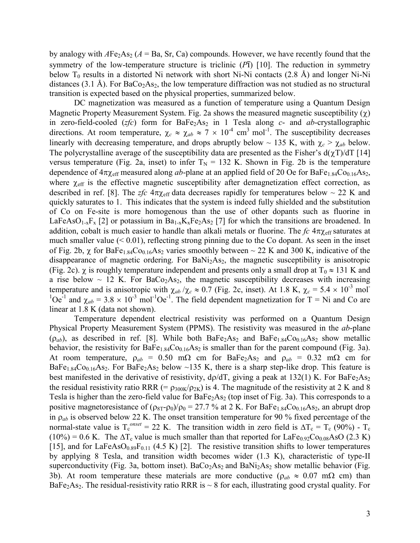by analogy with  $AFe<sub>2</sub>As<sub>2</sub>$  ( $A = Ba$ , Sr, Ca) compounds. However, we have recently found that the symmetry of the low-temperature structure is triclinic (*P*ī) [10]. The reduction in symmetry below  $T_0$  results in a distorted Ni network with short Ni-Ni contacts (2.8 Å) and longer Ni-Ni distances (3.1 Å). For  $BaCo<sub>2</sub>As<sub>2</sub>$ , the low temperature diffraction was not studied as no structural transition is expected based on the physical properties, summarized below.

DC magnetization was measured as a function of temperature using a Quantum Design Magnetic Property Measurement System. Fig. 2a shows the measured magnetic susceptibility  $(\chi)$ in zero-field-cooled (*zfc*) form for BaFe<sub>2</sub>As<sub>2</sub> in 1 Tesla along *c*- and *ab*-crystallographic directions. At room temperature,  $\chi_c \approx \chi_{ab} \approx 7 \times 10^{-4}$  cm<sup>3</sup> mol<sup>-1</sup>. The susceptibility decreases linearly with decreasing temperature, and drops abruptly below ~ 135 K, with  $\chi_c > \chi_{ab}$  below. The polycrystalline average of the susceptibility data are presented as the Fisher's  $d(\chi T)/dT$  [14] versus temperature (Fig. 2a, inset) to infer  $T_N = 132$  K. Shown in Fig. 2b is the temperature dependence of  $4\pi\chi_{\text{eff}}$  measured along *ab*-plane at an applied field of 20 Oe for BaFe<sub>1.84</sub>Co<sub>0.16</sub>As<sub>2</sub>, where  $\chi_{\text{eff}}$  is the effective magnetic susceptibility after demagnetization effect correction, as described in ref. [8]. The *zfc*  $4\pi\chi_{\text{eff}}$  data decreases rapidly for temperatures below  $\sim$  22 K and quickly saturates to 1. This indicates that the system is indeed fully shielded and the substitution of Co on Fe-site is more homogenous than the use of other dopants such as fluorine in LaFeAsO<sub>1-x</sub>F<sub>x</sub> [2] or potassium in Ba<sub>1-x</sub>K<sub>x</sub>Fe<sub>2</sub>As<sub>2</sub> [7] for which the transitions are broadened. In addition, cobalt is much easier to handle than alkali metals or fluorine. The  $fc$  4 $\pi\chi_{\text{eff}}$  saturates at much smaller value (< 0.01), reflecting strong pinning due to the Co dopant. As seen in the inset of Fig. 2b,  $\chi$  for BaFe<sub>1.84</sub>Co<sub>0.16</sub>As<sub>2</sub> varies smoothly between  $\sim$  22 K and 300 K, indicative of the disappearance of magnetic ordering. For  $BaNi<sub>2</sub>As<sub>2</sub>$ , the magnetic susceptibility is anisotropic (Fig. 2c).  $\chi$  is roughly temperature independent and presents only a small drop at T<sub>0</sub>  $\approx$  131 K and a rise below  $\sim$  12 K. For BaCo<sub>2</sub>As<sub>2</sub>, the magnetic susceptibility decreases with increasing temperature and is anisotropic with  $\chi_{ab}/\chi_c \approx 0.7$  (Fig. 2c, inset). At 1.8 K,  $\chi_c = 5.4 \times 10^{-3}$  mol<sup>-</sup> <sup>1</sup>Oe<sup>-1</sup> and  $\chi_{ab}$  = 3.8  $\times$  10<sup>-3</sup> mol<sup>-1</sup>Oe<sup>-1</sup>. The field dependent magnetization for T = Ni and Co are linear at 1.8 K (data not shown).

Temperature dependent electrical resistivity was performed on a Quantum Design Physical Property Measurement System (PPMS). The resistivity was measured in the *ab*-plane  $(\rho_{ab})$ , as described in ref. [8]. While both BaFe<sub>2</sub>As<sub>2</sub> and BaFe<sub>1.84</sub>Co<sub>0.16</sub>As<sub>2</sub> show metallic behavior, the resistivity for  $BaFe<sub>1.84</sub>Co<sub>0.16</sub>As<sub>2</sub>$  is smaller than for the parent compound (Fig. 3a). At room temperature,  $\rho_{ab} = 0.50$  m $\Omega$  cm for BaFe<sub>2</sub>As<sub>2</sub> and  $\rho_{ab} = 0.32$  m $\Omega$  cm for BaFe<sub>1.84</sub>Co<sub>0.16</sub>As<sub>2</sub>. For BaFe<sub>2</sub>As<sub>2</sub> below ~135 K, there is a sharp step-like drop. This feature is best manifested in the derivative of resistivity,  $d\rho/dT$ , giving a peak at 132(1) K. For BaFe<sub>2</sub>As<sub>2</sub> the residual resistivity ratio RRR (=  $\rho_{300K}/\rho_{2K}$ ) is 4. The magnitude of the resistivity at 2 K and 8 Tesla is higher than the zero-field value for  $BaFe<sub>2</sub>As<sub>2</sub>$  (top inset of Fig. 3a). This corresponds to a positive magnetoresistance of  $(\rho_{8T}-\rho_0)/\rho_0 = 27.7$  % at 2 K. For BaFe<sub>1.84</sub>Co<sub>0.16</sub>As<sub>2</sub>, an abrupt drop in  $\rho_{ab}$  is observed below 22 K. The onset transition temperature for 90 % fixed percentage of the normal-state value is  $T_c^{onset} = 22$  K. The transition width in zero field is  $\Delta T_c = T_c (90\%)$  -  $T_c$  $(10\%) = 0.6$  K. The  $\Delta T_c$  value is much smaller than that reported for LaFe<sub>0.92</sub>Co<sub>0.08</sub>AsO (2.3 K) [15], and for LaFeAsO $_{0.89}F_{0.11}$  (4.5 K) [2]. The resistive transition shifts to lower temperatures by applying 8 Tesla, and transition width becomes wider (1.3 K), characteristic of type-II superconductivity (Fig. 3a, bottom inset).  $BaCo<sub>2</sub>As<sub>2</sub>$  and  $BaNi<sub>2</sub>As<sub>2</sub>$  show metallic behavior (Fig. 3b). At room temperature these materials are more conductive ( $\rho_{ab} \approx 0.07$  m $\Omega$  cm) than BaFe<sub>2</sub>As<sub>2</sub>. The residual-resistivity ratio RRR is  $\sim$  8 for each, illustrating good crystal quality. For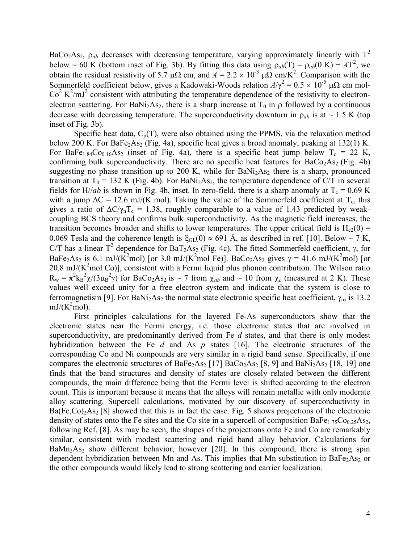BaCo<sub>2</sub>As<sub>2</sub>,  $\rho_{ab}$  decreases with decreasing temperature, varying approximately linearly with  $T^2$ below ~ 60 K (bottom inset of Fig. 3b). By fitting this data using  $\rho_{ab}(T) = \rho_{ab}(0 \text{ K}) + AT^2$ , we obtain the residual resistivity of 5.7  $\mu\Omega$  cm, and  $A = 2.2 \times 10^{-3} \mu\Omega$  cm/K<sup>2</sup>. Comparison with the Sommerfeld coefficient below, gives a Kadowaki-Woods relation  $A/\gamma^2 = 0.5 \times 10^{-5} \mu\Omega$  cm mol- $Co<sup>2</sup> K<sup>2</sup>/mJ<sup>2</sup>$  consistent with attributing the temperature dependence of the resistivity to electronelectron scattering. For BaNi<sub>2</sub>As<sub>2</sub>, there is a sharp increase at  $T_0$  in  $\rho$  followed by a continuous decrease with decreasing temperature. The superconductivity downturn in  $\rho_{ab}$  is at ~ 1.5 K (top inset of Fig. 3b).

Specific heat data,  $C_p(T)$ , were also obtained using the PPMS, via the relaxation method below 200 K. For BaFe<sub>2</sub>As<sub>2</sub> (Fig. 4a), specific heat gives a broad anomaly, peaking at 132(1) K. For BaFe<sub>1.84</sub>Co<sub>0.16</sub>As<sub>2</sub> (inset of Fig. 4a), there is a specific heat jump below  $T_c = 22$  K, confirming bulk superconductivity. There are no specific heat features for  $BaCo<sub>2</sub>As<sub>2</sub>$  (Fig. 4b) suggesting no phase transition up to 200 K, while for  $BaNi<sub>2</sub>As<sub>2</sub>$  there is a sharp, pronounced transition at T<sub>0</sub> = 132 K (Fig. 4b). For BaNi<sub>2</sub>As<sub>2</sub>, the temperature dependence of C/T in several fields for H//*ab* is shown in Fig. 4b, inset. In zero-field, there is a sharp anomaly at  $T_c = 0.69$  K with a jump  $\Delta C = 12.6$  mJ/(K mol). Taking the value of the Sommerfeld coefficient at T<sub>c</sub>, this gives a ratio of  $\Delta C/\gamma_nT_c = 1.38$ , roughly comparable to a value of 1.43 predicted by weakcoupling BCS theory and confirms bulk superconductivity. As the magnetic field increases, the transition becomes broader and shifts to lower temperatures. The upper critical field is  $H_{c2}(0)$  = 0.069 Tesla and the coherence length is  $\xi_{GL}(0) \approx 691$  Å, as described in ref. [10]. Below ~ 7 K, C/T has a linear T<sup>2</sup> dependence for BaT<sub>2</sub>As<sub>2</sub> (Fig. 4c). The fitted Sommerfeld coefficient,  $\gamma$ , for BaFe<sub>2</sub>As<sub>2</sub> is 6.1 mJ/(K<sup>2</sup>mol) [or 3.0 mJ/(K<sup>2</sup>mol Fe)]. BaCo<sub>2</sub>As<sub>2</sub> gives  $\gamma = 41.6$  mJ/(K<sup>2</sup>mol) [or 20.8 mJ/ $(K^2$ mol Co)], consistent with a Fermi liquid plus phonon contribution. The Wilson ratio  $R_w = \pi^2 k_B^2 \chi / (3 \mu_B^2 \gamma)$  for BaCo<sub>2</sub>As<sub>2</sub> is ~ 7 from  $\chi_{ab}$  and ~ 10 from  $\chi_c$  (measured at 2 K). These values well exceed unity for a free electron system and indicate that the system is close to ferromagnetism [9]. For BaNi<sub>2</sub>As<sub>2</sub> the normal state electronic specific heat coefficient,  $\gamma_n$ , is 13.2  $mJ/(K^2 \text{mol})$ .

First principles calculations for the layered Fe-As superconductors show that the electronic states near the Fermi energy, i.e. those electronic states that are involved in superconductivity, are predominantly derived from Fe *d* states, and that there is only modest hybridization between the Fe *d* and As *p* states [16]. The electronic structures of the corresponding Co and Ni compounds are very similar in a rigid band sense. Specifically, if one compares the electronic structures of BaFe<sub>2</sub>As<sub>2</sub> [17] BaCo<sub>2</sub>As<sub>2</sub> [8, 9] and BaNi<sub>2</sub>As<sub>2</sub> [18, 19] one finds that the band structures and density of states are closely related between the different compounds, the main difference being that the Fermi level is shifted according to the electron count. This is important because it means that the alloys will remain metallic with only moderate alloy scattering. Supercell calculations, motivated by our discovery of superconductivity in  $Ba(Fe,Co)<sub>2</sub>As<sub>2</sub>[8]$  showed that this is in fact the case. Fig. 5 shows projections of the electronic density of states onto the Fe sites and the Co site in a supercell of composition BaFe<sub>1.75</sub>Co<sub>0.25</sub>As<sub>2</sub>, following Ref. [8]. As may be seen, the shapes of the projections onto Fe and Co are remarkably similar, consistent with modest scattering and rigid band alloy behavior. Calculations for  $BaMn<sub>2</sub>As<sub>2</sub> show different behavior, however [20]. In this compound, there is strong spin$ dependent hybridization between Mn and As. This implies that Mn substitution in BaFe<sub>2</sub>As<sub>2</sub> or the other compounds would likely lead to strong scattering and carrier localization.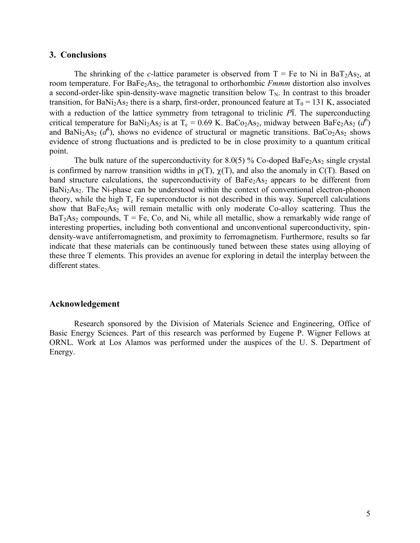### **3. Conclusions**

The shrinking of the *c*-lattice parameter is observed from  $T = Fe$  to Ni in BaT<sub>2</sub>As<sub>2</sub>, at room temperature. For BaFe<sub>2</sub>As<sub>2</sub>, the tetragonal to orthorhombic *Fmmm* distortion also involves a second-order-like spin-density-wave magnetic transition below  $T_N$ . In contrast to this broader transition, for BaNi<sub>2</sub>As<sub>2</sub> there is a sharp, first-order, pronounced feature at  $T_0 = 131$  K, associated with a reduction of the lattice symmetry from tetragonal to triclinic *P*ī. The superconducting critical temperature for BaNi<sub>2</sub>As<sub>2</sub> is at T<sub>c</sub> = 0.69 K. BaCo<sub>2</sub>As<sub>2</sub>, midway between BaFe<sub>2</sub>As<sub>2</sub> ( $d^6$ ) and BaNi<sub>2</sub>As<sub>2</sub> ( $d^8$ ), shows no evidence of structural or magnetic transitions. BaCo<sub>2</sub>As<sub>2</sub> shows evidence of strong fluctuations and is predicted to be in close proximity to a quantum critical point.

The bulk nature of the superconductivity for  $8.0(5)$  % Co-doped BaFe<sub>2</sub>As<sub>2</sub> single crystal is confirmed by narrow transition widths in  $\rho(T)$ ,  $\chi(T)$ , and also the anomaly in C(T). Based on band structure calculations, the superconductivity of  $BaFe<sub>2</sub>As<sub>2</sub>$  appears to be different from BaNi<sub>2</sub>As<sub>2</sub>. The Ni-phase can be understood within the context of conventional electron-phonon theory, while the high  $T_c$  Fe superconductor is not described in this way. Supercell calculations show that BaFe<sub>2</sub>As<sub>2</sub> will remain metallic with only moderate Co-alloy scattering. Thus the  $BaT<sub>2</sub>As<sub>2</sub> compounds, T = Fe, Co, and Ni, while all metallic, show a remarkably wide range of$ interesting properties, including both conventional and unconventional superconductivity, spindensity-wave antiferromagnetism, and proximity to ferromagnetism. Furthermore, results so far indicate that these materials can be continuously tuned between these states using alloying of these three T elements. This provides an avenue for exploring in detail the interplay between the different states.

#### **Acknowledgement**

Research sponsored by the Division of Materials Science and Engineering, Office of Basic Energy Sciences. Part of this research was performed by Eugene P. Wigner Fellows at ORNL. Work at Los Alamos was performed under the auspices of the U. S. Department of Energy.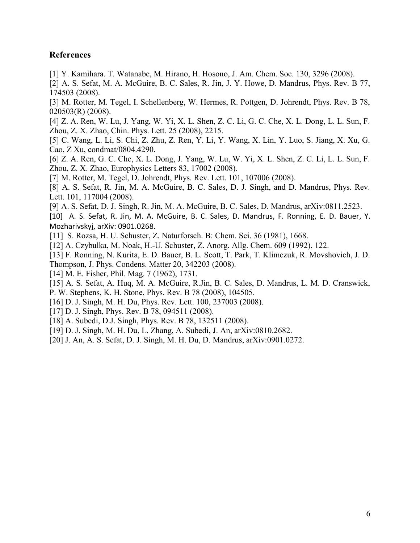## **References**

- [1] Y. Kamihara. T. Watanabe, M. Hirano, H. Hosono, J. Am. Chem. Soc. 130, 3296 (2008).
- [2] A. S. Sefat, M. A. McGuire, B. C. Sales, R. Jin, J. Y. Howe, D. Mandrus, Phys. Rev. B 77, 174503 (2008).
- [3] M. Rotter, M. Tegel, I. Schellenberg, W. Hermes, R. Pottgen, D. Johrendt, Phys. Rev. B 78, 020503(R) (2008).
- [4] Z. A. Ren, W. Lu, J. Yang, W. Yi, X. L. Shen, Z. C. Li, G. C. Che, X. L. Dong, L. L. Sun, F. Zhou, Z. X. Zhao, Chin. Phys. Lett. 25 (2008), 2215.
- [5] C. Wang, L. Li, S. Chi, Z. Zhu, Z. Ren, Y. Li, Y. Wang, X. Lin, Y. Luo, S. Jiang, X. Xu, G. Cao, Z Xu, condmat/0804.4290.
- [6] Z. A. Ren, G. C. Che, X. L. Dong, J. Yang, W. Lu, W. Yi, X. L. Shen, Z. C. Li, L. L. Sun, F. Zhou, Z. X. Zhao, Europhysics Letters 83, 17002 (2008).
- [7] M. Rotter, M. Tegel, D. Johrendt, Phys. Rev. Lett. 101, 107006 (2008).
- [8] A. S. Sefat, R. Jin, M. A. McGuire, B. C. Sales, D. J. Singh, and D. Mandrus, Phys. Rev. Lett. 101, 117004 (2008).
- [9] A. S. Sefat, D. J. Singh, R. Jin, M. A. McGuire, B. C. Sales, D. Mandrus, arXiv:0811.2523.
- [10] A. S. Sefat, R. Jin, M. A. McGuire, B. C. Sales, D. Mandrus, F. Ronning, E. D. Bauer, Y. Mozharivskyj, arXiv: 0901.0268.
- [11] S. Rozsa, H. U. Schuster, Z. Naturforsch. B: Chem. Sci. 36 (1981), 1668.
- [12] A. Czybulka, M. Noak, H.-U. Schuster, Z. Anorg. Allg. Chem. 609 (1992), 122.
- [13] F. Ronning, N. Kurita, E. D. Bauer, B. L. Scott, T. Park, T. Klimczuk, R. Movshovich, J. D. Thompson, J. Phys. Condens. Matter 20, 342203 (2008).
- [14] M. E. Fisher, Phil. Mag. 7 (1962), 1731.
- [15] A. S. Sefat, A. Huq, M. A. McGuire, R.Jin, B. C. Sales, D. Mandrus, L. M. D. Cranswick, P. W. Stephens, K. H. Stone, Phys. Rev. B 78 (2008), 104505.
- [16] D. J. Singh, M. H. Du, Phys. Rev. Lett. 100, 237003 (2008).
- [17] D. J. Singh, Phys. Rev. B 78, 094511 (2008).
- [18] A. Subedi, D.J. Singh, Phys. Rev. B 78, 132511 (2008).
- [19] D. J. Singh, M. H. Du, L. Zhang, A. Subedi, J. An, arXiv:0810.2682.
- [20] J. An, A. S. Sefat, D. J. Singh, M. H. Du, D. Mandrus, arXiv:0901.0272.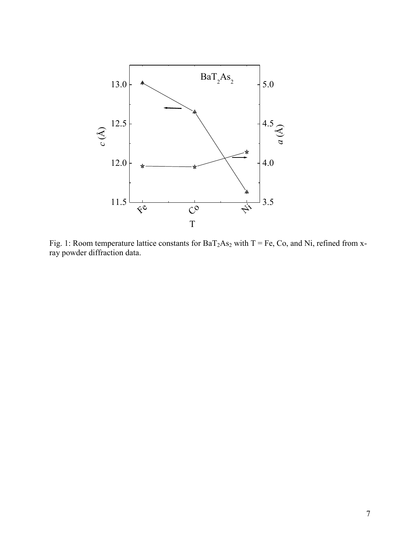

Fig. 1: Room temperature lattice constants for  $BaT_2As_2$  with T = Fe, Co, and Ni, refined from xray powder diffraction data.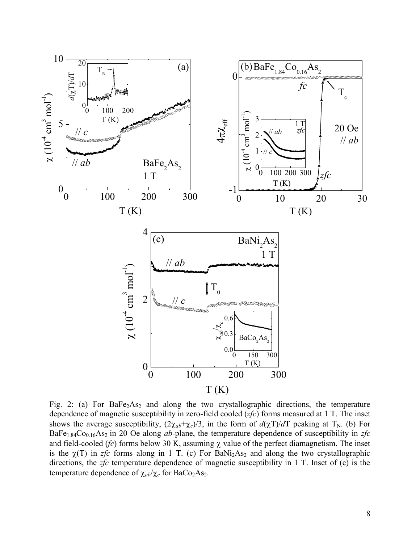

Fig. 2: (a) For  $BaFe<sub>2</sub>As<sub>2</sub>$  and along the two crystallographic directions, the temperature dependence of magnetic susceptibility in zero-field cooled (*zfc*) forms measured at 1 T. The inset shows the average susceptibility,  $(2\chi_{ab}+\chi_c)/3$ , in the form of  $d(\chi T)/dT$  peaking at T<sub>N</sub>. (b) For BaFe<sub>1.84</sub>Co<sub>0.16</sub>As<sub>2</sub> in 20 Oe along *ab*-plane, the temperature dependence of susceptibility in *zfc* and field-cooled  $(fc)$  forms below 30 K, assuming  $\chi$  value of the perfect diamagnetism. The inset is the  $\chi(T)$  in *zfc* forms along in 1 T. (c) For BaNi<sub>2</sub>As<sub>2</sub> and along the two crystallographic directions, the *zfc* temperature dependence of magnetic susceptibility in 1 T. Inset of (c) is the temperature dependence of  $\chi_{ab}/\chi_c$  for BaCo<sub>2</sub>As<sub>2</sub>.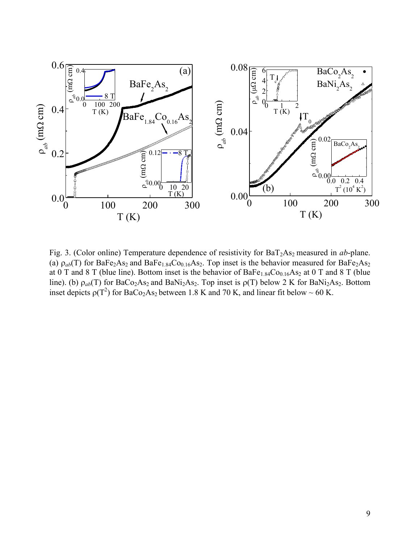

Fig. 3. (Color online) Temperature dependence of resistivity for BaT<sub>2</sub>As<sub>2</sub> measured in *ab*-plane. (a)  $\rho_{ab}(T)$  for BaFe<sub>2</sub>As<sub>2</sub> and BaFe<sub>1.84</sub>Co<sub>0.16</sub>As<sub>2</sub>. Top inset is the behavior measured for BaFe<sub>2</sub>As<sub>2</sub> at 0 T and 8 T (blue line). Bottom inset is the behavior of  $BaFe<sub>1.84</sub>Co<sub>0.16</sub>As<sub>2</sub>$  at 0 T and 8 T (blue line). (b)  $\rho_{ab}(T)$  for BaCo<sub>2</sub>As<sub>2</sub> and BaNi<sub>2</sub>As<sub>2</sub>. Top inset is  $\rho(T)$  below 2 K for BaNi<sub>2</sub>As<sub>2</sub>. Bottom inset depicts  $p(T^2)$  for BaCo<sub>2</sub>As<sub>2</sub> between 1.8 K and 70 K, and linear fit below ~ 60 K.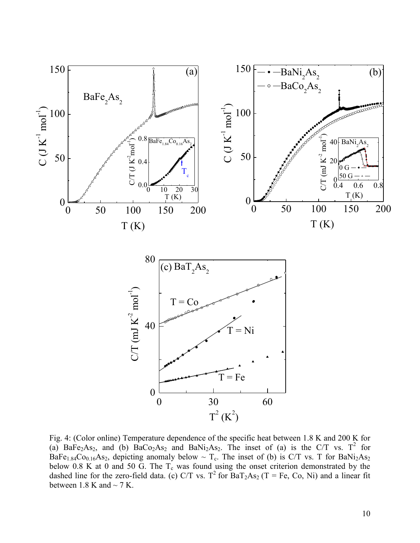

Fig. 4: (Color online) Temperature dependence of the specific heat between 1.8 K and 200 K for (a) BaFe<sub>2</sub>As<sub>2</sub>, and (b) BaCo<sub>2</sub>As<sub>2</sub> and BaNi<sub>2</sub>As<sub>2</sub>. The inset of (a) is the C/T vs. T<sup>2</sup> for BaFe<sub>1.84</sub>Co<sub>0.16</sub>As<sub>2</sub>, depicting anomaly below  $\sim$  T<sub>c</sub>. The inset of (b) is C/T vs. T for BaNi<sub>2</sub>As<sub>2</sub> below 0.8 K at 0 and 50 G. The  $T_c$  was found using the onset criterion demonstrated by the dashed line for the zero-field data. (c) C/T vs. T<sup>2</sup> for  $BaT_2As_2$  (T = Fe, Co, Ni) and a linear fit between 1.8 K and  $\sim$  7 K.